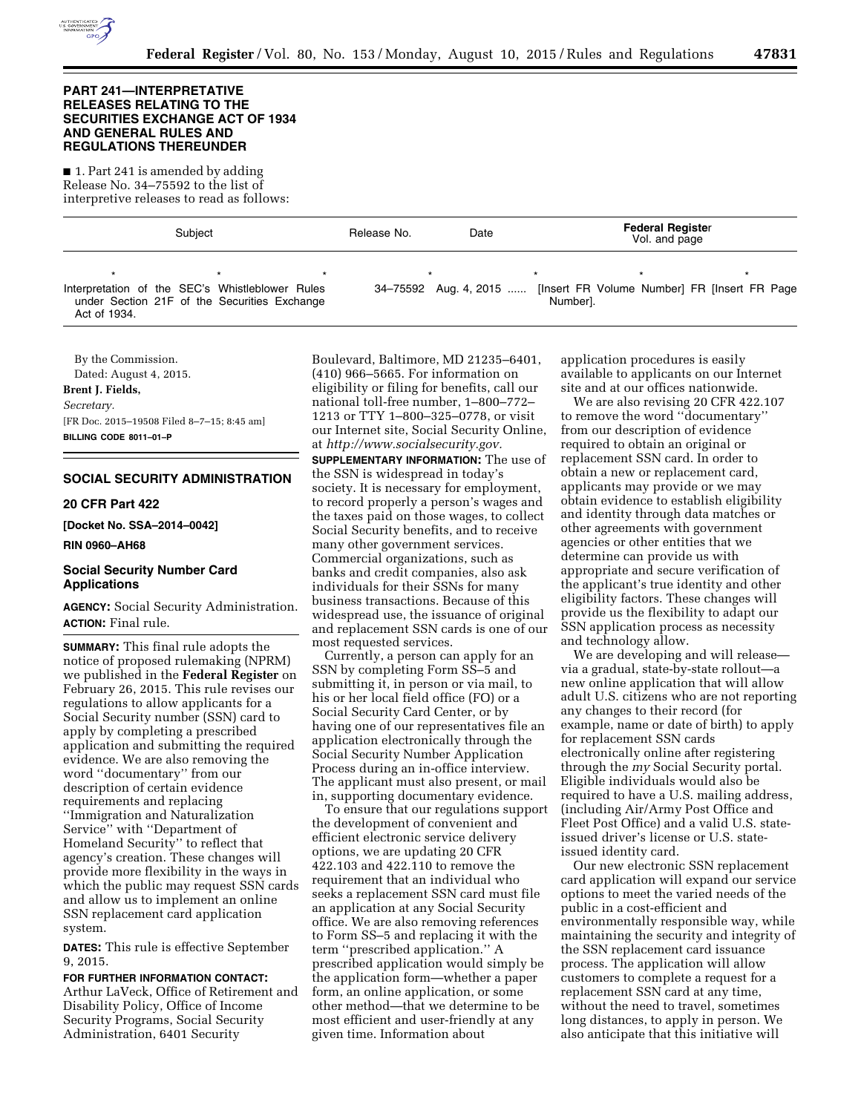

## **PART 241—INTERPRETATIVE RELEASES RELATING TO THE SECURITIES EXCHANGE ACT OF 1934 AND GENERAL RULES AND REGULATIONS THEREUNDER**

■ 1. Part 241 is amended by adding Release No. 34–75592 to the list of interpretive releases to read as follows:

| Subject                                                                                                         |  | Release No. | Date                  | <b>Federal Register</b><br>Vol. and page |  |                                               |
|-----------------------------------------------------------------------------------------------------------------|--|-------------|-----------------------|------------------------------------------|--|-----------------------------------------------|
| Interpretation of the SEC's Whistleblower Rules<br>under Section 21F of the Securities Exchange<br>Act of 1934. |  |             | 34–75592 Aug. 4, 2015 | Numberl.                                 |  | [Insert FR Volume Number] FR [Insert FR Page] |

By the Commission. Dated: August 4, 2015. **Brent J. Fields,**  *Secretary.*  [FR Doc. 2015–19508 Filed 8–7–15; 8:45 am] **BILLING CODE 8011–01–P** 

# **SOCIAL SECURITY ADMINISTRATION**

#### **20 CFR Part 422**

**[Docket No. SSA–2014–0042]** 

#### **RIN 0960–AH68**

# **Social Security Number Card Applications**

**AGENCY:** Social Security Administration. **ACTION:** Final rule.

**SUMMARY:** This final rule adopts the notice of proposed rulemaking (NPRM) we published in the **Federal Register** on February 26, 2015. This rule revises our regulations to allow applicants for a Social Security number (SSN) card to apply by completing a prescribed application and submitting the required evidence. We are also removing the word ''documentary'' from our description of certain evidence requirements and replacing ''Immigration and Naturalization Service'' with ''Department of Homeland Security'' to reflect that agency's creation. These changes will provide more flexibility in the ways in which the public may request SSN cards and allow us to implement an online SSN replacement card application system.

**DATES:** This rule is effective September 9, 2015.

**FOR FURTHER INFORMATION CONTACT:**  Arthur LaVeck, Office of Retirement and Disability Policy, Office of Income Security Programs, Social Security Administration, 6401 Security

Boulevard, Baltimore, MD 21235–6401, (410) 966–5665. For information on eligibility or filing for benefits, call our national toll-free number, 1–800–772– 1213 or TTY 1–800–325–0778, or visit our Internet site, Social Security Online, at *[http://www.socialsecurity.gov.](http://www.socialsecurity.gov)* 

**SUPPLEMENTARY INFORMATION:** The use of the SSN is widespread in today's society. It is necessary for employment, to record properly a person's wages and the taxes paid on those wages, to collect Social Security benefits, and to receive many other government services. Commercial organizations, such as banks and credit companies, also ask individuals for their SSNs for many business transactions. Because of this widespread use, the issuance of original and replacement SSN cards is one of our most requested services.

Currently, a person can apply for an SSN by completing Form SS–5 and submitting it, in person or via mail, to his or her local field office (FO) or a Social Security Card Center, or by having one of our representatives file an application electronically through the Social Security Number Application Process during an in-office interview. The applicant must also present, or mail in, supporting documentary evidence.

To ensure that our regulations support the development of convenient and efficient electronic service delivery options, we are updating 20 CFR 422.103 and 422.110 to remove the requirement that an individual who seeks a replacement SSN card must file an application at any Social Security office. We are also removing references to Form SS–5 and replacing it with the term ''prescribed application.'' A prescribed application would simply be the application form—whether a paper form, an online application, or some other method—that we determine to be most efficient and user-friendly at any given time. Information about

application procedures is easily available to applicants on our Internet site and at our offices nationwide.

We are also revising 20 CFR 422.107 to remove the word ''documentary'' from our description of evidence required to obtain an original or replacement SSN card. In order to obtain a new or replacement card, applicants may provide or we may obtain evidence to establish eligibility and identity through data matches or other agreements with government agencies or other entities that we determine can provide us with appropriate and secure verification of the applicant's true identity and other eligibility factors. These changes will provide us the flexibility to adapt our SSN application process as necessity and technology allow.

We are developing and will release via a gradual, state-by-state rollout—a new online application that will allow adult U.S. citizens who are not reporting any changes to their record (for example, name or date of birth) to apply for replacement SSN cards electronically online after registering through the *my* Social Security portal. Eligible individuals would also be required to have a U.S. mailing address, (including Air/Army Post Office and Fleet Post Office) and a valid U.S. stateissued driver's license or U.S. stateissued identity card.

Our new electronic SSN replacement card application will expand our service options to meet the varied needs of the public in a cost-efficient and environmentally responsible way, while maintaining the security and integrity of the SSN replacement card issuance process. The application will allow customers to complete a request for a replacement SSN card at any time, without the need to travel, sometimes long distances, to apply in person. We also anticipate that this initiative will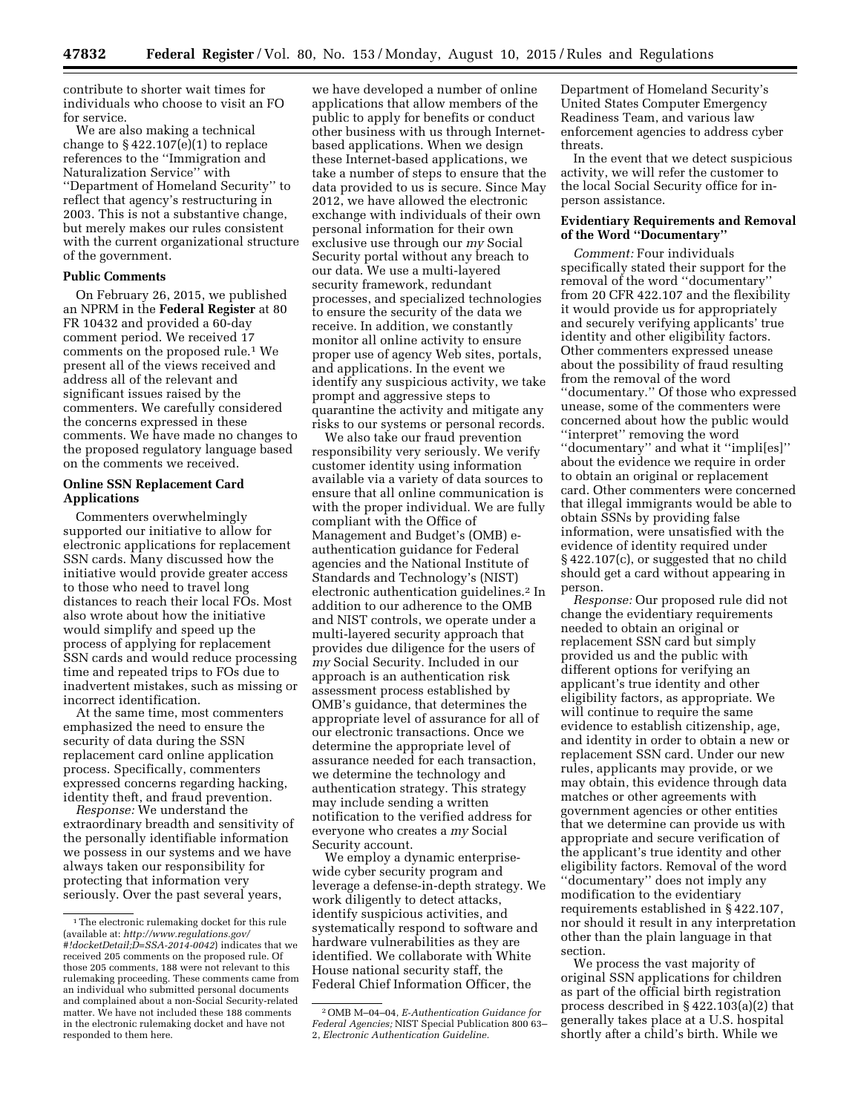contribute to shorter wait times for individuals who choose to visit an FO for service.

We are also making a technical change to  $\S$  422.107(e)(1) to replace references to the ''Immigration and Naturalization Service'' with ''Department of Homeland Security'' to reflect that agency's restructuring in 2003. This is not a substantive change, but merely makes our rules consistent with the current organizational structure of the government.

## **Public Comments**

On February 26, 2015, we published an NPRM in the **Federal Register** at 80 FR 10432 and provided a 60-day comment period. We received 17 comments on the proposed rule.1 We present all of the views received and address all of the relevant and significant issues raised by the commenters. We carefully considered the concerns expressed in these comments. We have made no changes to the proposed regulatory language based on the comments we received.

## **Online SSN Replacement Card Applications**

Commenters overwhelmingly supported our initiative to allow for electronic applications for replacement SSN cards. Many discussed how the initiative would provide greater access to those who need to travel long distances to reach their local FOs. Most also wrote about how the initiative would simplify and speed up the process of applying for replacement SSN cards and would reduce processing time and repeated trips to FOs due to inadvertent mistakes, such as missing or incorrect identification.

At the same time, most commenters emphasized the need to ensure the security of data during the SSN replacement card online application process. Specifically, commenters expressed concerns regarding hacking, identity theft, and fraud prevention.

*Response:* We understand the extraordinary breadth and sensitivity of the personally identifiable information we possess in our systems and we have always taken our responsibility for protecting that information very seriously. Over the past several years,

we have developed a number of online applications that allow members of the public to apply for benefits or conduct other business with us through Internetbased applications. When we design these Internet-based applications, we take a number of steps to ensure that the data provided to us is secure. Since May 2012, we have allowed the electronic exchange with individuals of their own personal information for their own exclusive use through our *my* Social Security portal without any breach to our data. We use a multi-layered security framework, redundant processes, and specialized technologies to ensure the security of the data we receive. In addition, we constantly monitor all online activity to ensure proper use of agency Web sites, portals, and applications. In the event we identify any suspicious activity, we take prompt and aggressive steps to quarantine the activity and mitigate any risks to our systems or personal records.

We also take our fraud prevention responsibility very seriously. We verify customer identity using information available via a variety of data sources to ensure that all online communication is with the proper individual. We are fully compliant with the Office of Management and Budget's (OMB) eauthentication guidance for Federal agencies and the National Institute of Standards and Technology's (NIST) electronic authentication guidelines.2 In addition to our adherence to the OMB and NIST controls, we operate under a multi-layered security approach that provides due diligence for the users of *my* Social Security. Included in our approach is an authentication risk assessment process established by OMB's guidance, that determines the appropriate level of assurance for all of our electronic transactions. Once we determine the appropriate level of assurance needed for each transaction, we determine the technology and authentication strategy. This strategy may include sending a written notification to the verified address for everyone who creates a *my* Social Security account.

We employ a dynamic enterprisewide cyber security program and leverage a defense-in-depth strategy. We work diligently to detect attacks, identify suspicious activities, and systematically respond to software and hardware vulnerabilities as they are identified. We collaborate with White House national security staff, the Federal Chief Information Officer, the

Department of Homeland Security's United States Computer Emergency Readiness Team, and various law enforcement agencies to address cyber threats.

In the event that we detect suspicious activity, we will refer the customer to the local Social Security office for inperson assistance.

## **Evidentiary Requirements and Removal of the Word ''Documentary''**

*Comment:* Four individuals specifically stated their support for the removal of the word ''documentary'' from 20 CFR 422.107 and the flexibility it would provide us for appropriately and securely verifying applicants' true identity and other eligibility factors. Other commenters expressed unease about the possibility of fraud resulting from the removal of the word ''documentary.'' Of those who expressed unease, some of the commenters were concerned about how the public would ''interpret'' removing the word ''documentary'' and what it ''impli[es]'' about the evidence we require in order to obtain an original or replacement card. Other commenters were concerned that illegal immigrants would be able to obtain SSNs by providing false information, were unsatisfied with the evidence of identity required under § 422.107(c), or suggested that no child should get a card without appearing in person.

*Response:* Our proposed rule did not change the evidentiary requirements needed to obtain an original or replacement SSN card but simply provided us and the public with different options for verifying an applicant's true identity and other eligibility factors, as appropriate. We will continue to require the same evidence to establish citizenship, age, and identity in order to obtain a new or replacement SSN card. Under our new rules, applicants may provide, or we may obtain, this evidence through data matches or other agreements with government agencies or other entities that we determine can provide us with appropriate and secure verification of the applicant's true identity and other eligibility factors. Removal of the word ''documentary'' does not imply any modification to the evidentiary requirements established in § 422.107, nor should it result in any interpretation other than the plain language in that section.

We process the vast majority of original SSN applications for children as part of the official birth registration process described in § 422.103(a)(2) that generally takes place at a U.S. hospital shortly after a child's birth. While we

<sup>1</sup>The electronic rulemaking docket for this rule (available at: *[http://www.regulations.gov/](http://www.regulations.gov/#!docketDetail;D=SSA-2014-0042) [#!docketDetail;D=SSA-2014-0042](http://www.regulations.gov/#!docketDetail;D=SSA-2014-0042)*) indicates that we received 205 comments on the proposed rule. Of those 205 comments, 188 were not relevant to this rulemaking proceeding. These comments came from an individual who submitted personal documents and complained about a non-Social Security-related matter. We have not included these 188 comments in the electronic rulemaking docket and have not responded to them here.

<sup>2</sup>OMB M–04–04, *E-Authentication Guidance for Federal Agencies;* NIST Special Publication 800 63– 2, *Electronic Authentication Guideline.*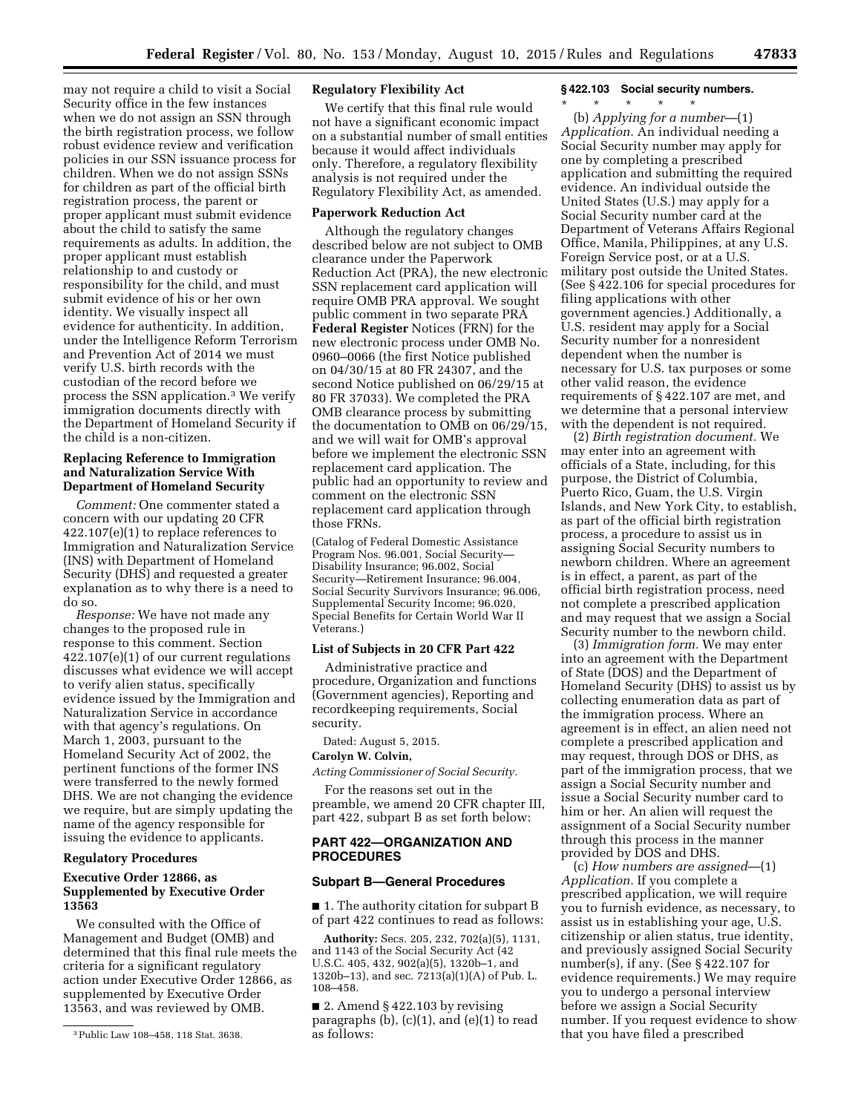may not require a child to visit a Social Security office in the few instances when we do not assign an SSN through the birth registration process, we follow robust evidence review and verification policies in our SSN issuance process for children. When we do not assign SSNs for children as part of the official birth registration process, the parent or proper applicant must submit evidence about the child to satisfy the same requirements as adults. In addition, the proper applicant must establish relationship to and custody or responsibility for the child, and must submit evidence of his or her own identity. We visually inspect all evidence for authenticity. In addition, under the Intelligence Reform Terrorism and Prevention Act of 2014 we must verify U.S. birth records with the custodian of the record before we process the SSN application.3 We verify immigration documents directly with the Department of Homeland Security if the child is a non-citizen.

## **Replacing Reference to Immigration and Naturalization Service With Department of Homeland Security**

*Comment:* One commenter stated a concern with our updating 20 CFR 422.107(e)(1) to replace references to Immigration and Naturalization Service (INS) with Department of Homeland Security (DHS) and requested a greater explanation as to why there is a need to do so.

*Response:* We have not made any changes to the proposed rule in response to this comment. Section 422.107(e)(1) of our current regulations discusses what evidence we will accept to verify alien status, specifically evidence issued by the Immigration and Naturalization Service in accordance with that agency's regulations. On March 1, 2003, pursuant to the Homeland Security Act of 2002, the pertinent functions of the former INS were transferred to the newly formed DHS. We are not changing the evidence we require, but are simply updating the name of the agency responsible for issuing the evidence to applicants.

### **Regulatory Procedures**

## **Executive Order 12866, as Supplemented by Executive Order 13563**

We consulted with the Office of Management and Budget (OMB) and determined that this final rule meets the criteria for a significant regulatory action under Executive Order 12866, as supplemented by Executive Order 13563, and was reviewed by OMB.

# **Regulatory Flexibility Act**

We certify that this final rule would not have a significant economic impact on a substantial number of small entities because it would affect individuals only. Therefore, a regulatory flexibility analysis is not required under the Regulatory Flexibility Act, as amended.

### **Paperwork Reduction Act**

Although the regulatory changes described below are not subject to OMB clearance under the Paperwork Reduction Act (PRA), the new electronic SSN replacement card application will require OMB PRA approval. We sought public comment in two separate PRA **Federal Register** Notices (FRN) for the new electronic process under OMB No. 0960–0066 (the first Notice published on 04/30/15 at 80 FR 24307, and the second Notice published on 06/29/15 at 80 FR 37033). We completed the PRA OMB clearance process by submitting the documentation to OMB on 06/29/15, and we will wait for OMB's approval before we implement the electronic SSN replacement card application. The public had an opportunity to review and comment on the electronic SSN replacement card application through those FRNs.

(Catalog of Federal Domestic Assistance Program Nos. 96.001, Social Security— Disability Insurance; 96.002, Social Security—Retirement Insurance; 96.004, Social Security Survivors Insurance; 96.006, Supplemental Security Income; 96.020, Special Benefits for Certain World War II Veterans.)

## **List of Subjects in 20 CFR Part 422**

Administrative practice and procedure, Organization and functions (Government agencies), Reporting and recordkeeping requirements, Social security.

# Dated: August 5, 2015.

## **Carolyn W. Colvin,**

*Acting Commissioner of Social Security.* 

For the reasons set out in the preamble, we amend 20 CFR chapter III, part 422, subpart B as set forth below:

## **PART 422—ORGANIZATION AND PROCEDURES**

### **Subpart B—General Procedures**

■ 1. The authority citation for subpart B of part 422 continues to read as follows:

**Authority:** Secs. 205, 232, 702(a)(5), 1131, and 1143 of the Social Security Act (42 U.S.C. 405, 432, 902(a)(5), 1320b–1, and 1320b–13), and sec. 7213(a)(1)(A) of Pub. L. 108–458.

■ 2. Amend § 422.103 by revising paragraphs (b), (c)(1), and (e)(1) to read as follows:

## **§ 422.103 Social security numbers.**

\* \* \* \* \*

(b) *Applying for a number*—(1) *Application.* An individual needing a Social Security number may apply for one by completing a prescribed application and submitting the required evidence. An individual outside the United States (U.S.) may apply for a Social Security number card at the Department of Veterans Affairs Regional Office, Manila, Philippines, at any U.S. Foreign Service post, or at a U.S. military post outside the United States. (See § 422.106 for special procedures for filing applications with other government agencies.) Additionally, a U.S. resident may apply for a Social Security number for a nonresident dependent when the number is necessary for U.S. tax purposes or some other valid reason, the evidence requirements of § 422.107 are met, and we determine that a personal interview with the dependent is not required.

(2) *Birth registration document.* We may enter into an agreement with officials of a State, including, for this purpose, the District of Columbia, Puerto Rico, Guam, the U.S. Virgin Islands, and New York City, to establish, as part of the official birth registration process, a procedure to assist us in assigning Social Security numbers to newborn children. Where an agreement is in effect, a parent, as part of the official birth registration process, need not complete a prescribed application and may request that we assign a Social Security number to the newborn child.

(3) *Immigration form.* We may enter into an agreement with the Department of State (DOS) and the Department of Homeland Security (DHS) to assist us by collecting enumeration data as part of the immigration process. Where an agreement is in effect, an alien need not complete a prescribed application and may request, through DOS or DHS, as part of the immigration process, that we assign a Social Security number and issue a Social Security number card to him or her. An alien will request the assignment of a Social Security number through this process in the manner provided by DOS and DHS.

(c) *How numbers are assigned*—(1) *Application.* If you complete a prescribed application, we will require you to furnish evidence, as necessary, to assist us in establishing your age, U.S. citizenship or alien status, true identity, and previously assigned Social Security number(s), if any. (See § 422.107 for evidence requirements.) We may require you to undergo a personal interview before we assign a Social Security number. If you request evidence to show that you have filed a prescribed

<sup>3</sup>Public Law 108–458, 118 Stat. 3638.